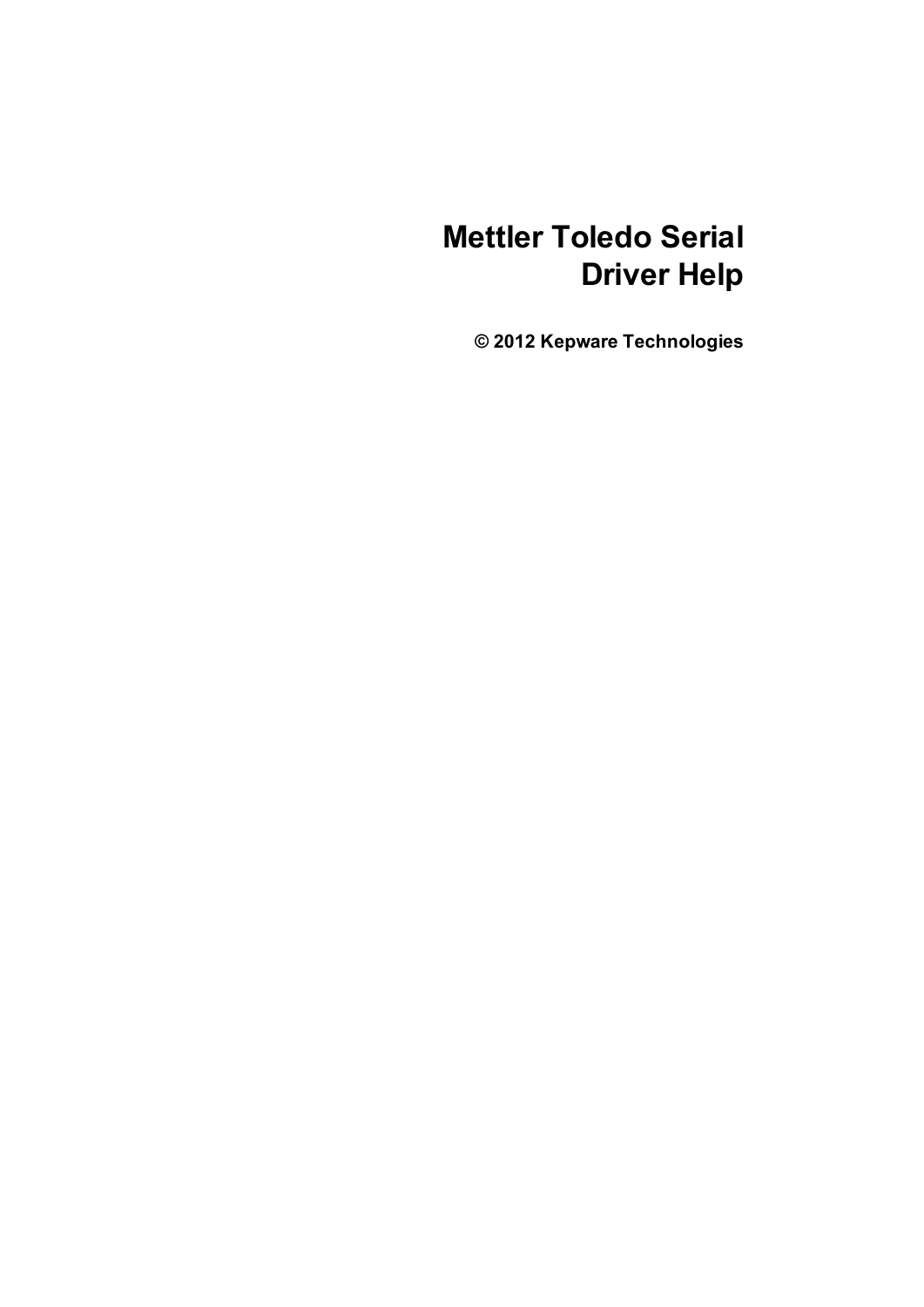# **Mettler Toledo Serial Driver Help**

**© 2012 Kepware Technologies**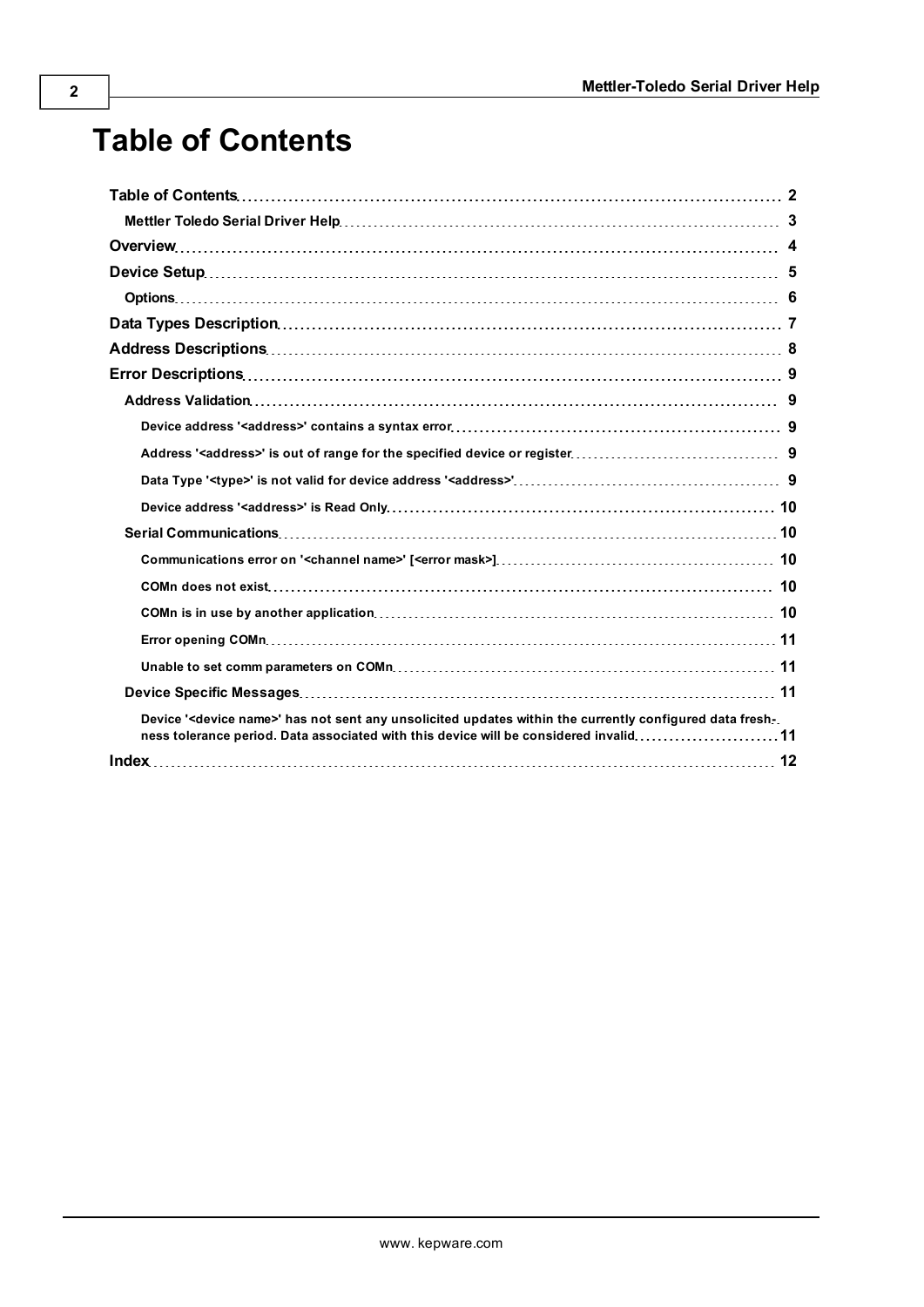# <span id="page-1-0"></span>**Table of Contents**

| Device ' <device name="">' has not sent any unsolicited updates within the currently configured data fresh-<br/>ness tolerance period. Data associated with this device will be considered invalid11</device> |  |
|---------------------------------------------------------------------------------------------------------------------------------------------------------------------------------------------------------------|--|
|                                                                                                                                                                                                               |  |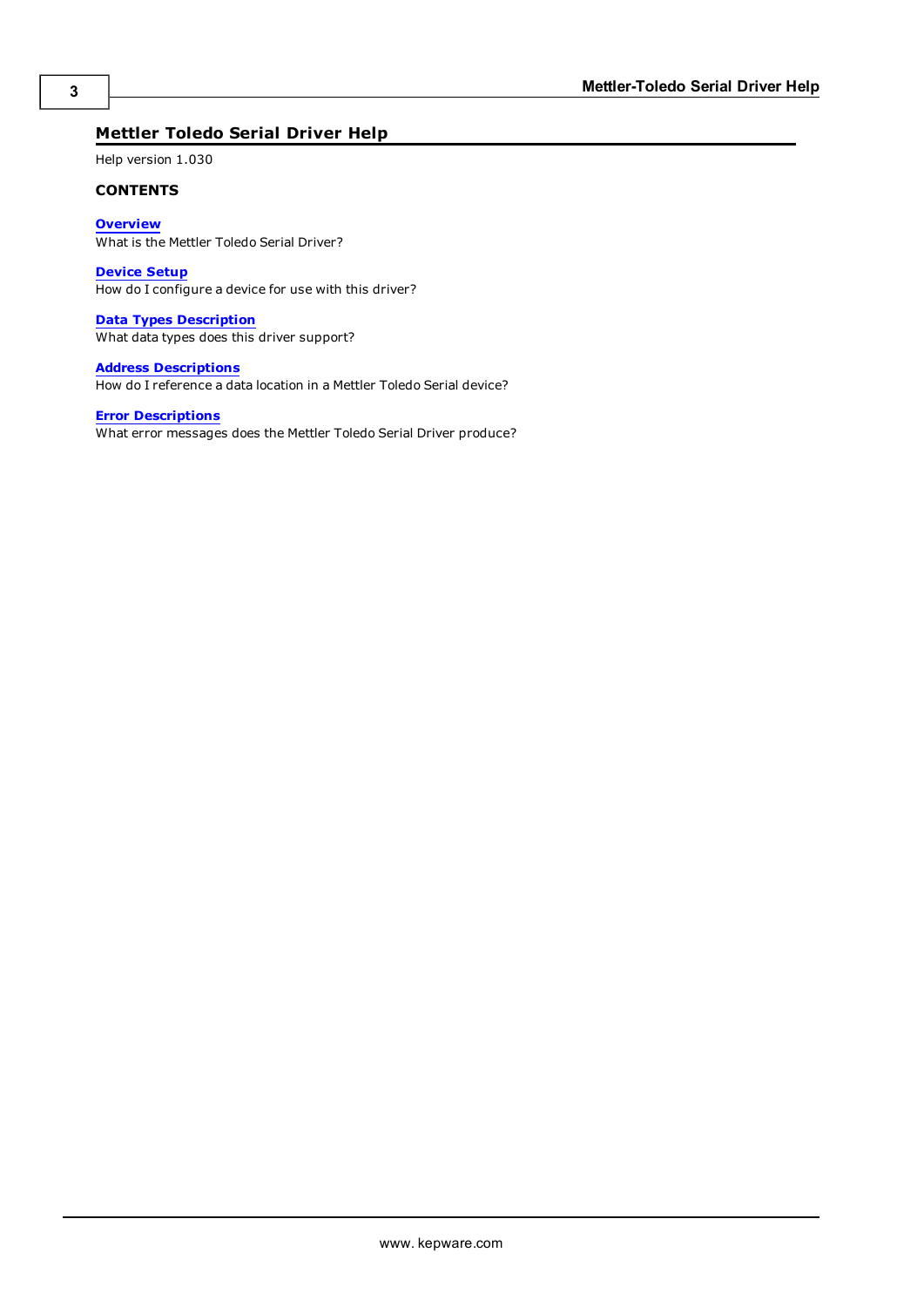# <span id="page-2-0"></span>**Mettler Toledo Serial Driver Help**

Help version 1.030

### **CONTENTS**

**[Overview](#page-3-0)** What is the Mettler Toledo Serial Driver?

**[Device](#page-4-0) [Setup](#page-4-0)** How do I configure a device for use with this driver?

**[Data](#page-6-0) [Types](#page-6-0) [Description](#page-6-0)** What data types does this driver support?

**[Address](#page-7-0) [Descriptions](#page-7-0)** How do I reference a data location in a Mettler Toledo Serial device?

# **[Error](#page-8-0) [Descriptions](#page-8-0)**

What error messages does the Mettler Toledo Serial Driver produce?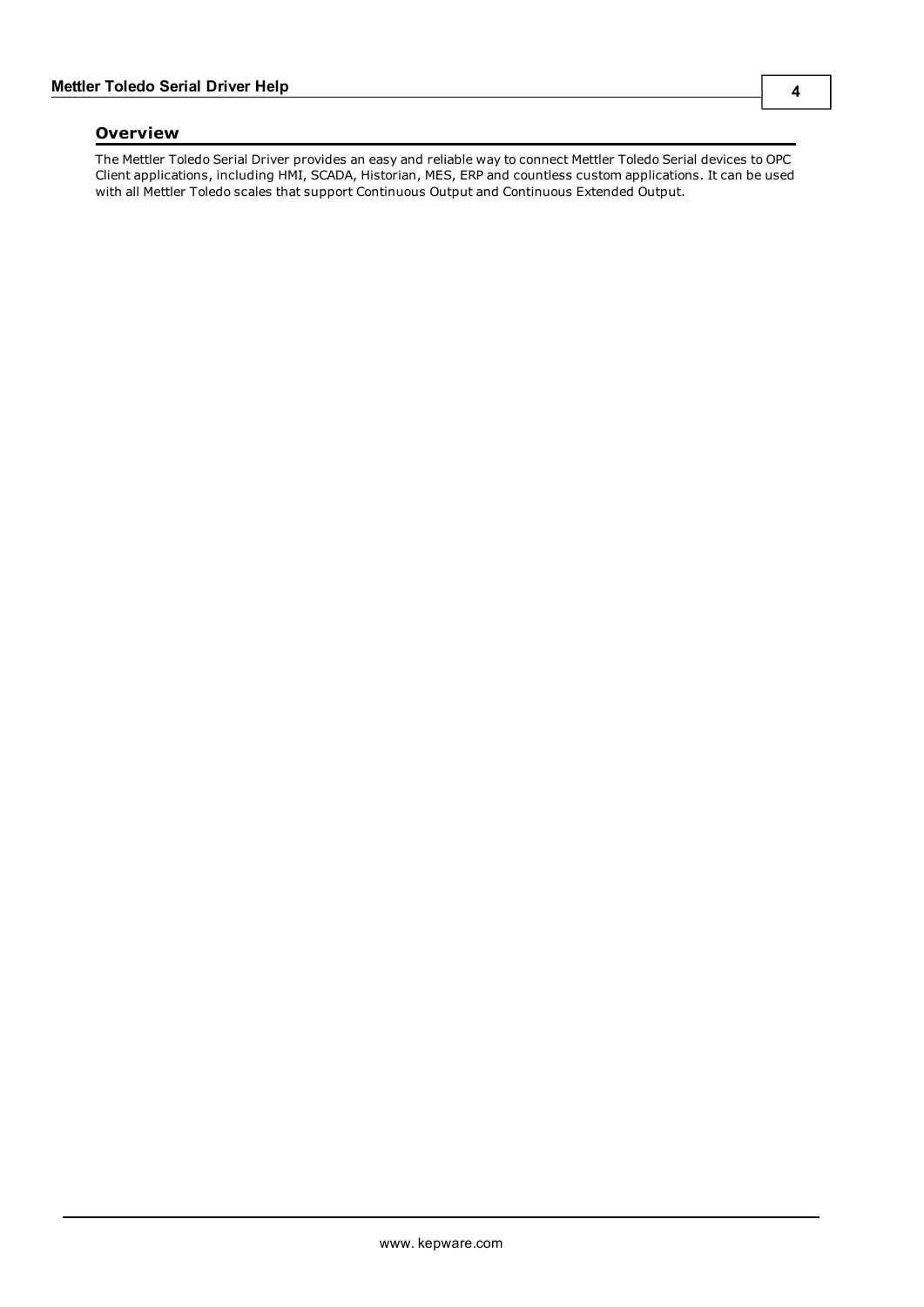# <span id="page-3-0"></span>**Overview**

The Mettler Toledo Serial Driver provides an easy and reliable way to connect Mettler Toledo Serial devices to OPC Client applications, including HMI, SCADA, Historian, MES, ERP and countless custom applications. It can be used with all Mettler Toledo scales that support Continuous Output and Continuous Extended Output.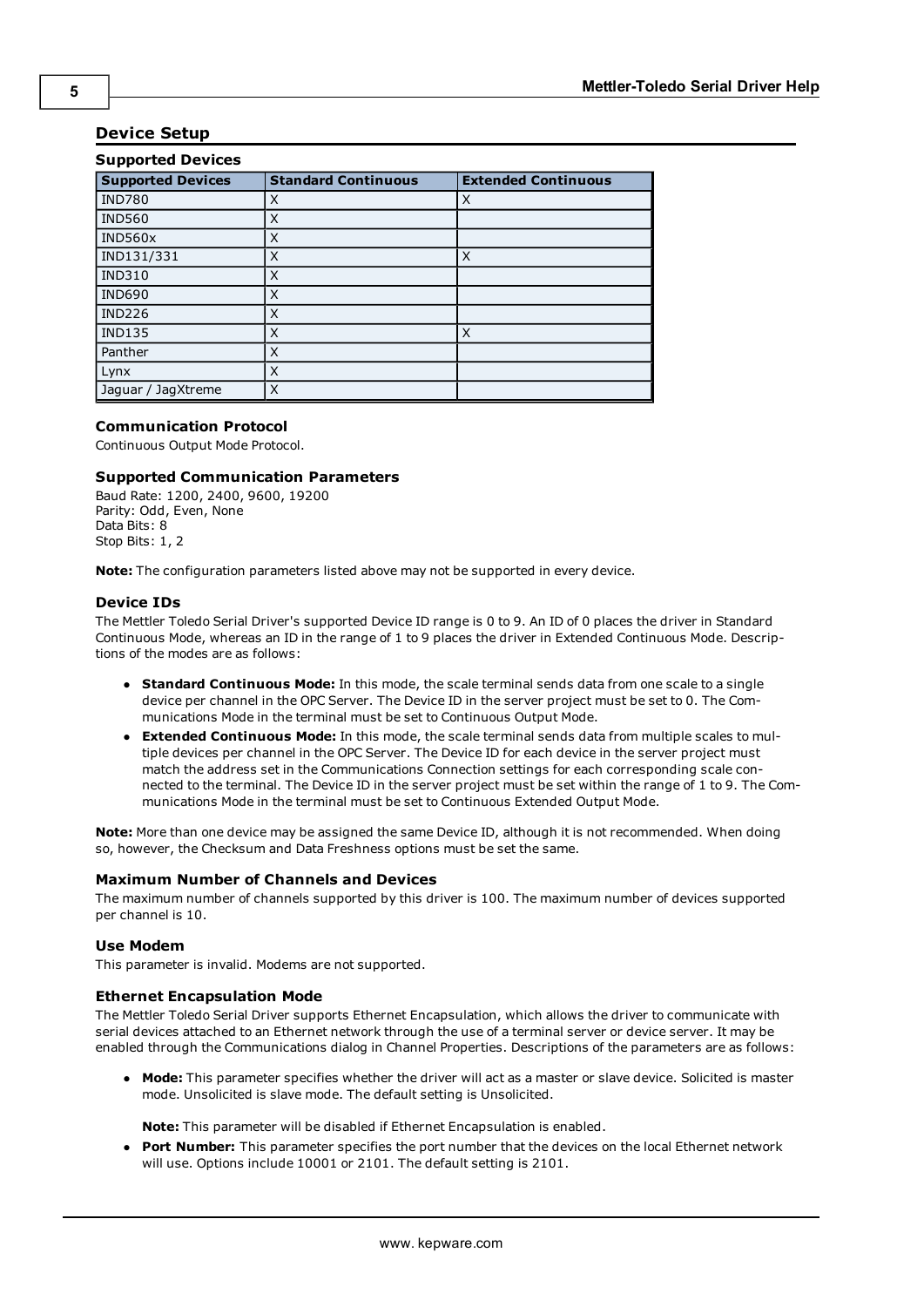# <span id="page-4-0"></span>**Device Setup**

| <b>Supported Devices</b> |                            |                            |  |  |
|--------------------------|----------------------------|----------------------------|--|--|
| <b>Supported Devices</b> | <b>Standard Continuous</b> | <b>Extended Continuous</b> |  |  |
| <b>IND780</b>            | X                          | X                          |  |  |
| <b>IND560</b>            | X                          |                            |  |  |
| IND560x                  | X                          |                            |  |  |
| IND131/331               | X                          | X                          |  |  |
| <b>IND310</b>            | X                          |                            |  |  |
| <b>IND690</b>            | X                          |                            |  |  |
| <b>IND226</b>            | X                          |                            |  |  |
| <b>IND135</b>            | X                          | X                          |  |  |
| Panther                  | X                          |                            |  |  |
| Lynx                     | X                          |                            |  |  |
| Jaguar / JagXtreme       | X                          |                            |  |  |

# **Communication Protocol**

Continuous Output Mode Protocol.

## **Supported Communication Parameters**

Baud Rate: 1200, 2400, 9600, 19200 Parity: Odd, Even, None Data Bits: 8 Stop Bits: 1, 2

**Note:** The configuration parameters listed above may not be supported in every device.

#### **Device IDs**

The Mettler Toledo Serial Driver's supported Device ID range is 0 to 9. An ID of 0 places the driver in Standard Continuous Mode, whereas an ID in the range of 1 to 9 places the driver in Extended Continuous Mode. Descriptions of the modes are as follows:

- **Standard Continuous Mode:** In this mode, the scale terminal sends data from one scale to a single device per channel in the OPC Server. The Device ID in the server project must be set to 0. The Communications Mode in the terminal must be set to Continuous Output Mode.
- **Extended Continuous Mode:** In this mode, the scale terminal sends data from multiple scales to multiple devices per channel in the OPC Server. The Device ID for each device in the server project must match the address set in the Communications Connection settings for each corresponding scale connected to the terminal. The Device ID in the server project must be set within the range of 1 to 9. The Communications Mode in the terminal must be set to Continuous Extended Output Mode.

**Note:** More than one device may be assigned the same Device ID, although it is not recommended. When doing so, however, the Checksum and Data Freshness options must be set the same.

#### **Maximum Number of Channels and Devices**

The maximum number of channels supported by this driver is 100. The maximum number of devices supported per channel is 10.

### **Use Modem**

This parameter is invalid. Modems are not supported.

#### **Ethernet Encapsulation Mode**

The Mettler Toledo Serial Driver supports Ethernet Encapsulation, which allows the driver to communicate with serial devices attached to an Ethernet network through the use of a terminal server or device server. It may be enabled through the Communications dialog in Channel Properties. Descriptions of the parameters are as follows:

**Mode:** This parameter specifies whether the driver will act as a master or slave device. Solicited is master mode. Unsolicited is slave mode. The default setting is Unsolicited.

**Note:** This parameter will be disabled if Ethernet Encapsulation is enabled.

**• Port Number:** This parameter specifies the port number that the devices on the local Ethernet network will use. Options include 10001 or 2101. The default setting is 2101.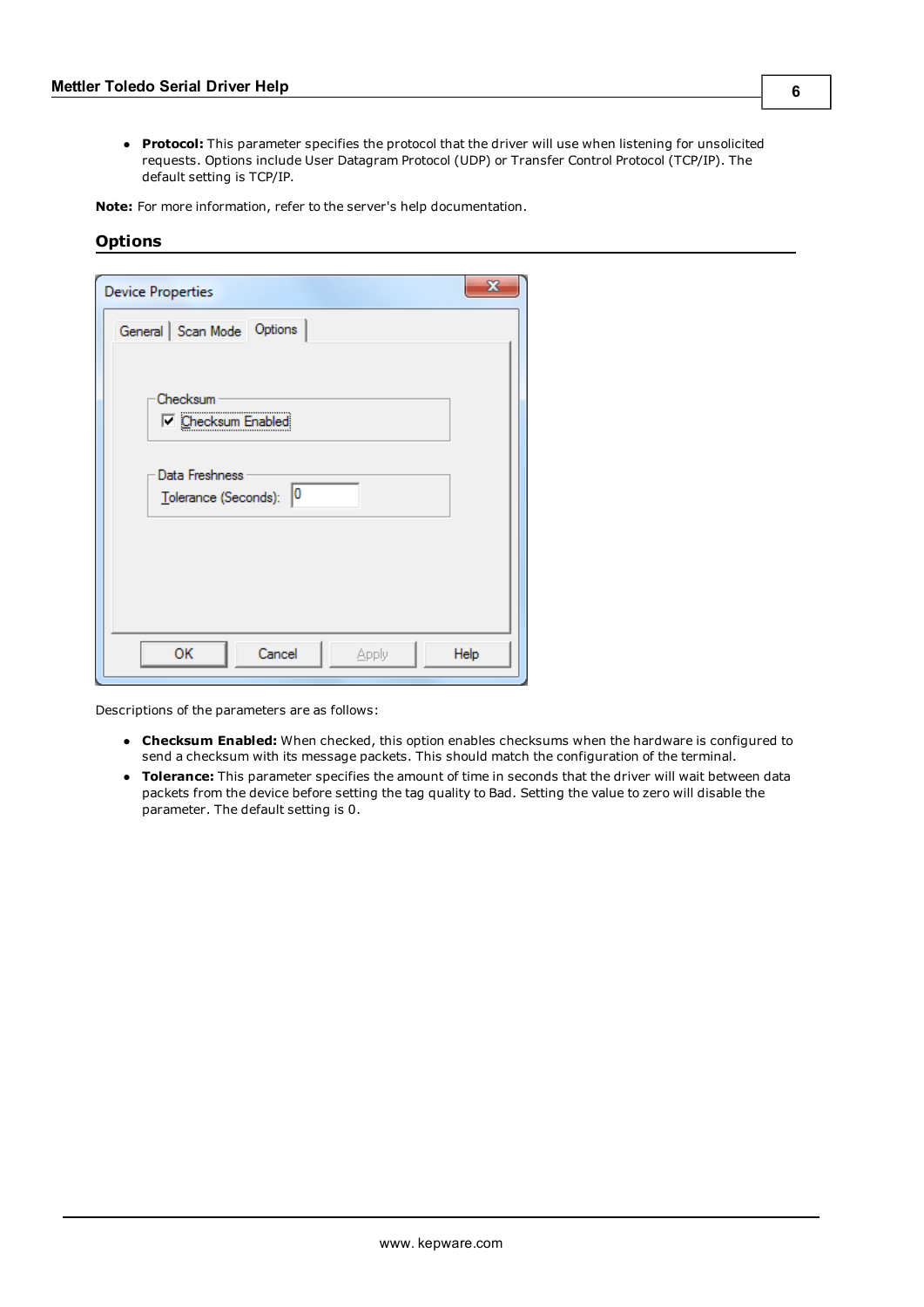**• Protocol:** This parameter specifies the protocol that the driver will use when listening for unsolicited requests. Options include User Datagram Protocol (UDP) or Transfer Control Protocol (TCP/IP). The default setting is TCP/IP.

<span id="page-5-0"></span>**Note:** For more information, refer to the server's help documentation.

# **Options**

| <b>Device Properties</b>  | x    |
|---------------------------|------|
| General Scan Mode Options |      |
|                           |      |
| Checksum                  |      |
| <b>D</b> Checksum Enabled |      |
| Data Freshness            |      |
| Tolerance (Seconds): 0    |      |
|                           |      |
|                           |      |
|                           |      |
| OK<br>Cancel<br>Apply     | Help |

Descriptions of the parameters are as follows:

- **Checksum Enabled:** When checked, this option enables checksums when the hardware is configured to send a checksum with its message packets. This should match the configuration of the terminal.
- **Tolerance:** This parameter specifies the amount of time in seconds that the driver will wait between data packets from the device before setting the tag quality to Bad. Setting the value to zero will disable the parameter. The default setting is 0.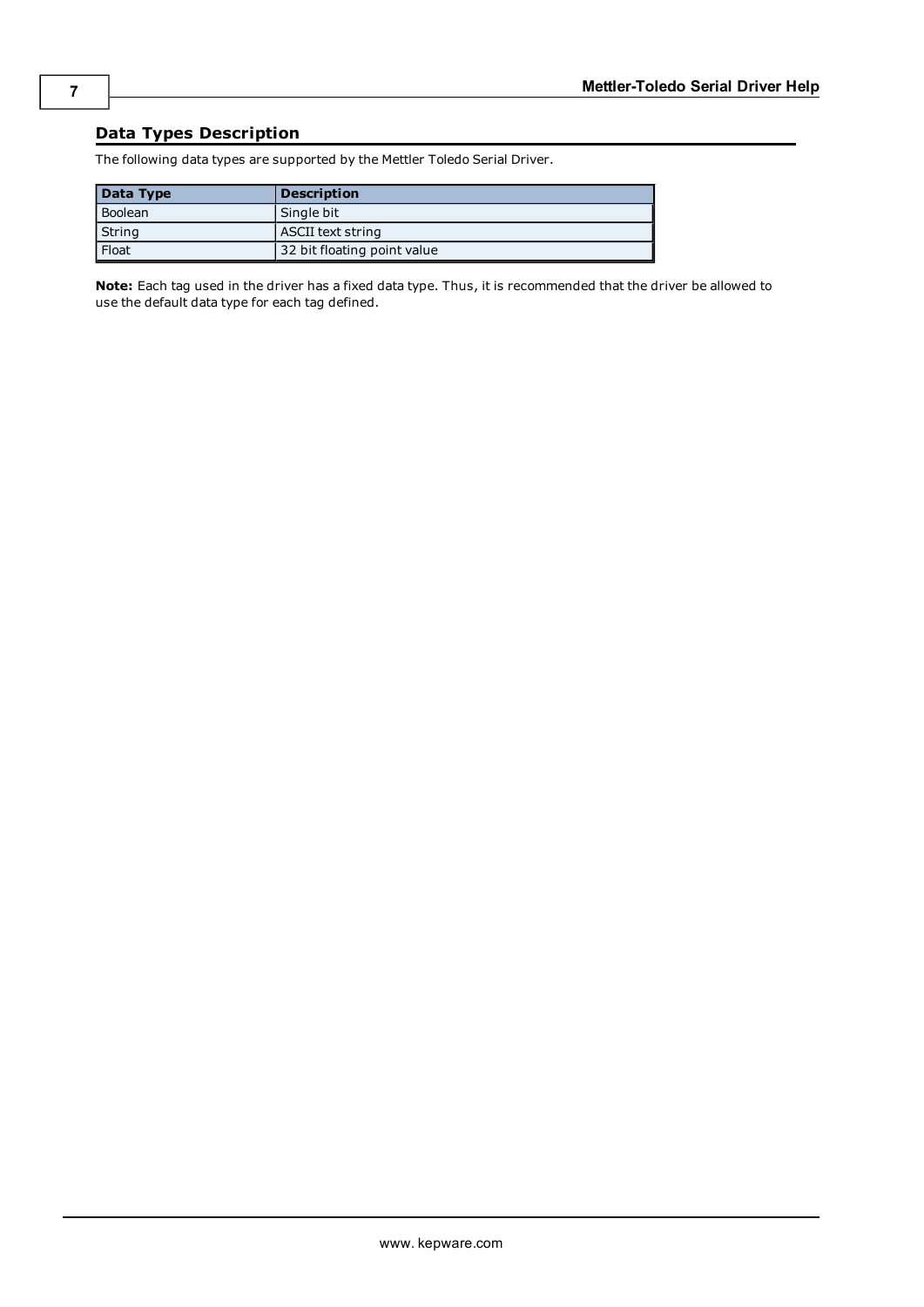# <span id="page-6-0"></span>**Data Types Description**

| Data Type | <b>Description</b>          |
|-----------|-----------------------------|
| Boolean   | Single bit                  |
| String    | ASCII text string           |
| Float     | 32 bit floating point value |

The following data types are supported by the Mettler Toledo Serial Driver.

**Note:** Each tag used in the driver has a fixed data type. Thus, it is recommended that the driver be allowed to use the default data type for each tag defined.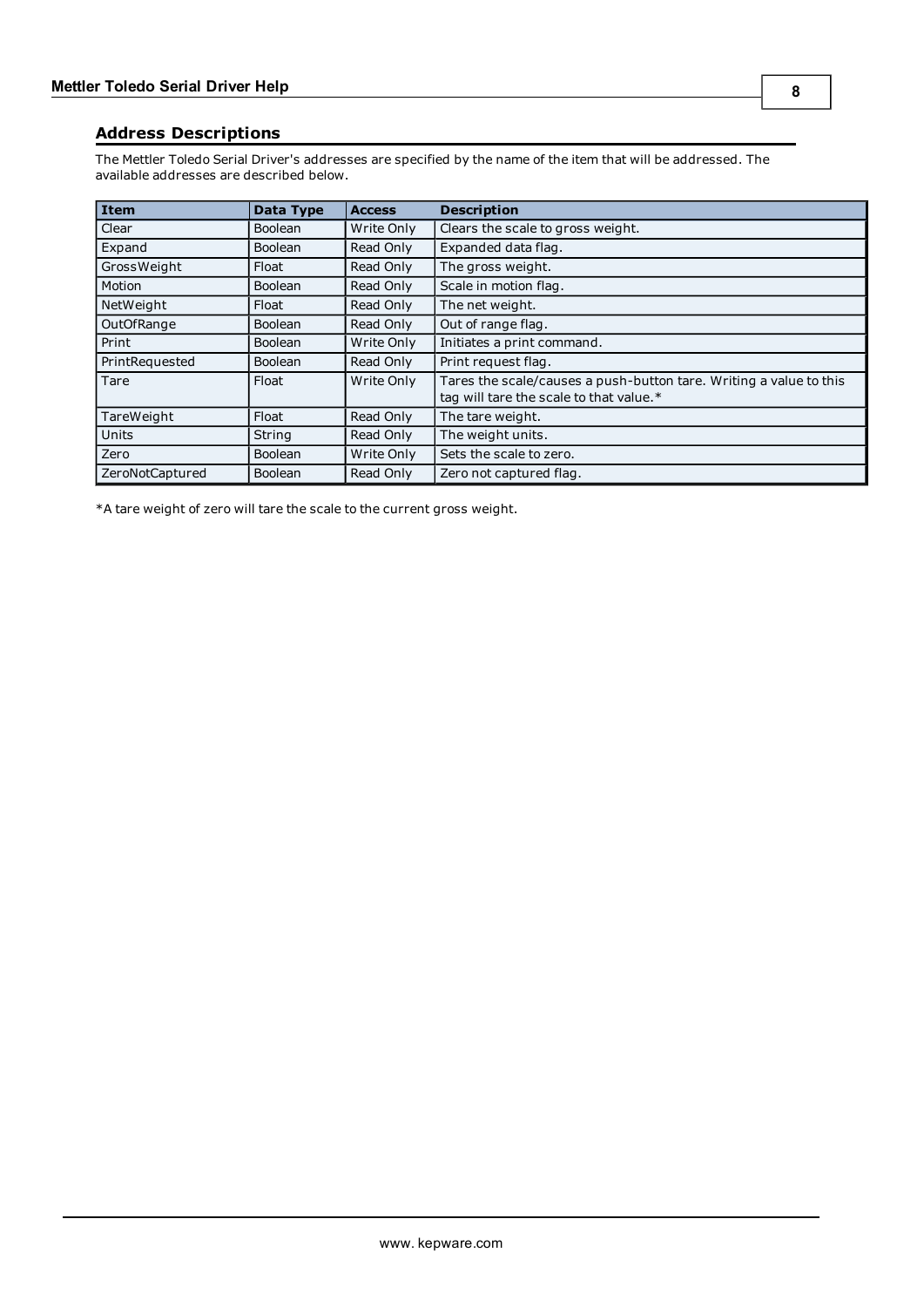<span id="page-7-0"></span>The Mettler Toledo Serial Driver's addresses are specified by the name of the item that will be addressed. The available addresses are described below.

| <b>Item</b>     | Data Type      | <b>Access</b> | <b>Description</b>                                                                                            |
|-----------------|----------------|---------------|---------------------------------------------------------------------------------------------------------------|
| Clear           | <b>Boolean</b> | Write Only    | Clears the scale to gross weight.                                                                             |
| Expand          | <b>Boolean</b> | Read Only     | Expanded data flag.                                                                                           |
| GrossWeight     | Float          | Read Only     | The gross weight.                                                                                             |
| Motion          | <b>Boolean</b> | Read Only     | Scale in motion flag.                                                                                         |
| NetWeight       | Float          | Read Only     | The net weight.                                                                                               |
| OutOfRange      | <b>Boolean</b> | Read Only     | Out of range flag.                                                                                            |
| Print           | <b>Boolean</b> | Write Only    | Initiates a print command.                                                                                    |
| PrintRequested  | <b>Boolean</b> | Read Only     | Print request flag.                                                                                           |
| Tare            | Float          | Write Only    | Tares the scale/causes a push-button tare. Writing a value to this<br>tag will tare the scale to that value.* |
| TareWeight      | Float          | Read Only     | The tare weight.                                                                                              |
| <b>Units</b>    | String         | Read Only     | The weight units.                                                                                             |
| Zero            | <b>Boolean</b> | Write Only    | Sets the scale to zero.                                                                                       |
| ZeroNotCaptured | <b>Boolean</b> | Read Only     | Zero not captured flag.                                                                                       |

\*A tare weight of zero will tare the scale to the current gross weight.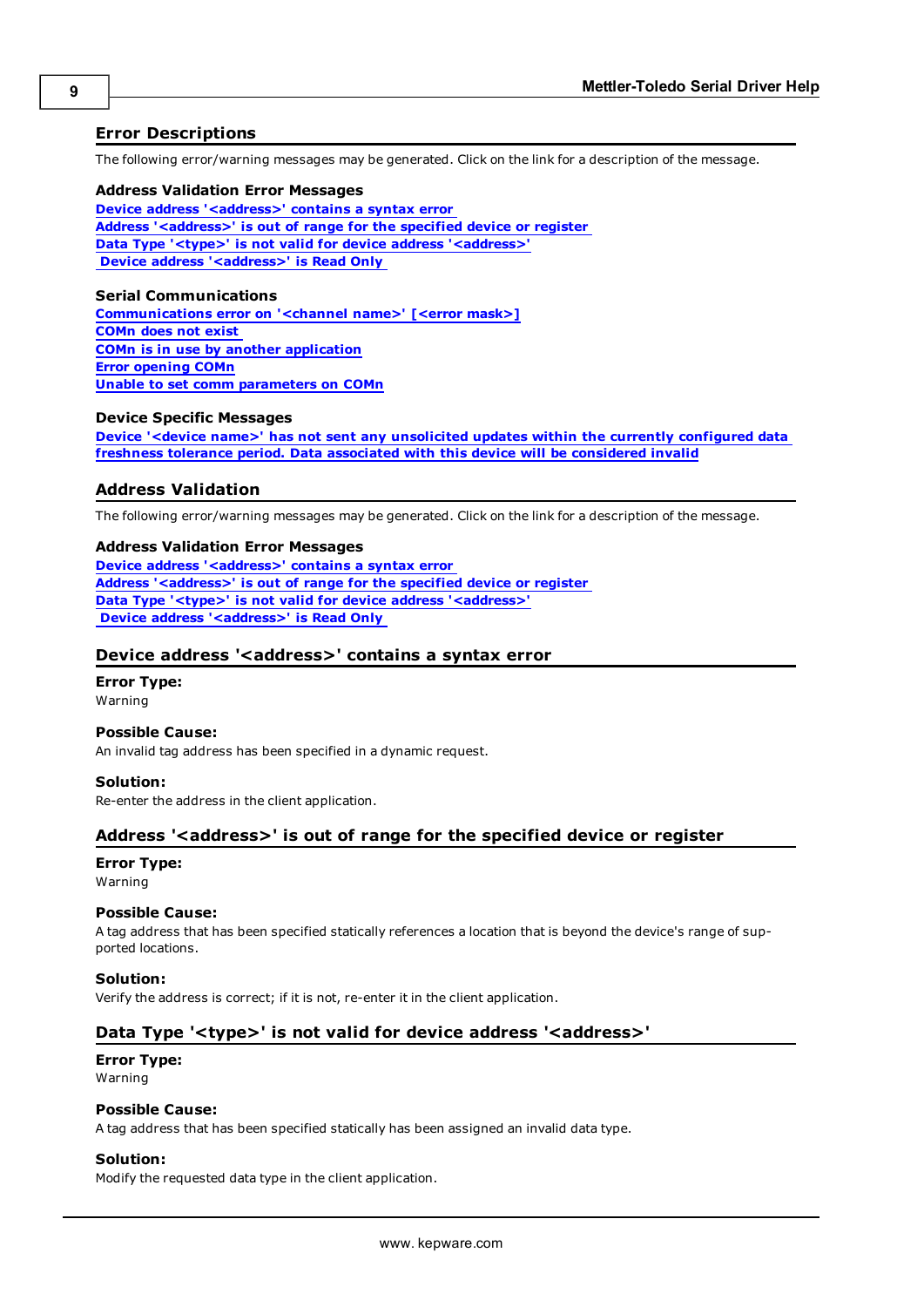# <span id="page-8-0"></span>**Error Descriptions**

The following error/warning messages may be generated. Click on the link for a description of the message.

### **Address Validation Error Messages**

**[Device](#page-8-2) [address](#page-8-2) ['<address>'](#page-8-2) [contains](#page-8-2) [a](#page-8-2) [syntax](#page-8-2) [error](#page-8-2) [Address](#page-8-3) ['<address>'](#page-8-3) [is](#page-8-3) [out](#page-8-3) [of](#page-8-3) [range](#page-8-3) [for](#page-8-3) [the](#page-8-3) [specified](#page-8-3) [device](#page-8-3) [or](#page-8-3) [register](#page-8-3) [Data](#page-8-4) [Type](#page-8-4) ['<type>'](#page-8-4) [is](#page-8-4) [not](#page-8-4) [valid](#page-8-4) [for](#page-8-4) [device](#page-8-4) [address](#page-8-4) ['<address>'](#page-8-4) [Device](#page-9-0) [address](#page-9-0) ['<address>'](#page-9-0) [is](#page-9-0) [Read](#page-9-0) [Only](#page-9-0)** 

#### **Serial Communications**

**[Communications](#page-9-2) [error](#page-9-2) [on](#page-9-2) ['<channel](#page-9-2) [name>'](#page-9-2) [\[<error](#page-9-2) [mask>\]](#page-9-2) [COMn](#page-9-3) [does](#page-9-3) [not](#page-9-3) [exist](#page-9-3) [COMn](#page-9-4) [is](#page-9-4) [in](#page-9-4) [use](#page-9-4) [by](#page-9-4) [another](#page-9-4) [application](#page-9-4) [Error](#page-10-0) [opening](#page-10-0) [COMn](#page-10-0) [Unable](#page-10-1) [to](#page-10-1) [set](#page-10-1) [comm](#page-10-1) [parameters](#page-10-1) [on](#page-10-1) [COMn](#page-10-1)**

#### **Device Specific Messages**

**[Device](#page-10-3) ['<device](#page-10-3) [name>'](#page-10-3) [has](#page-10-3) [not](#page-10-3) [sent](#page-10-3) [any](#page-10-3) [unsolicited](#page-10-3) [updates](#page-10-3) [within](#page-10-3) [the](#page-10-3) [currently](#page-10-3) [configured](#page-10-3) [data](#page-10-3) [freshness](#page-10-3) [tolerance](#page-10-3) [period.](#page-10-3) [Data](#page-10-3) [associated](#page-10-3) [with](#page-10-3) [this](#page-10-3) [device](#page-10-3) [will](#page-10-3) [be](#page-10-3) [considered](#page-10-3) [invalid](#page-10-3)**

## <span id="page-8-1"></span>**Address Validation**

The following error/warning messages may be generated. Click on the link for a description of the message.

#### **Address Validation Error Messages**

**[Device](#page-8-2) [address](#page-8-2) ['<address>'](#page-8-2) [contains](#page-8-2) [a](#page-8-2) [syntax](#page-8-2) [error](#page-8-2) [Address](#page-8-3) ['<address>'](#page-8-3) [is](#page-8-3) [out](#page-8-3) [of](#page-8-3) [range](#page-8-3) [for](#page-8-3) [the](#page-8-3) [specified](#page-8-3) [device](#page-8-3) [or](#page-8-3) [register](#page-8-3) [Data](#page-8-4) [Type](#page-8-4) ['<type>'](#page-8-4) [is](#page-8-4) [not](#page-8-4) [valid](#page-8-4) [for](#page-8-4) [device](#page-8-4) [address](#page-8-4) ['<address>'](#page-8-4) [Device](#page-9-0) [address](#page-9-0) ['<address>'](#page-9-0) [is](#page-9-0) [Read](#page-9-0) [Only](#page-9-0)** 

#### <span id="page-8-2"></span>Device address '<address>' contains a syntax error

# **Error Type:**

Warning

### **Possible Cause:**

An invalid tag address has been specified in a dynamic request.

#### **Solution:**

<span id="page-8-3"></span>Re-enter the address in the client application.

# **Address '<address>' is out of range for the specified device or register**

#### **Error Type:** Warning

# **Possible Cause:**

A tag address that has been specified statically references a location that is beyond the device's range of supported locations.

### **Solution:**

<span id="page-8-4"></span>Verify the address is correct; if it is not, re-enter it in the client application.

# Data Type '<type>' is not valid for device address '<address>'

## **Error Type:** Warning

#### **Possible Cause:**

A tag address that has been specified statically has been assigned an invalid data type.

#### **Solution:**

Modify the requested data type in the client application.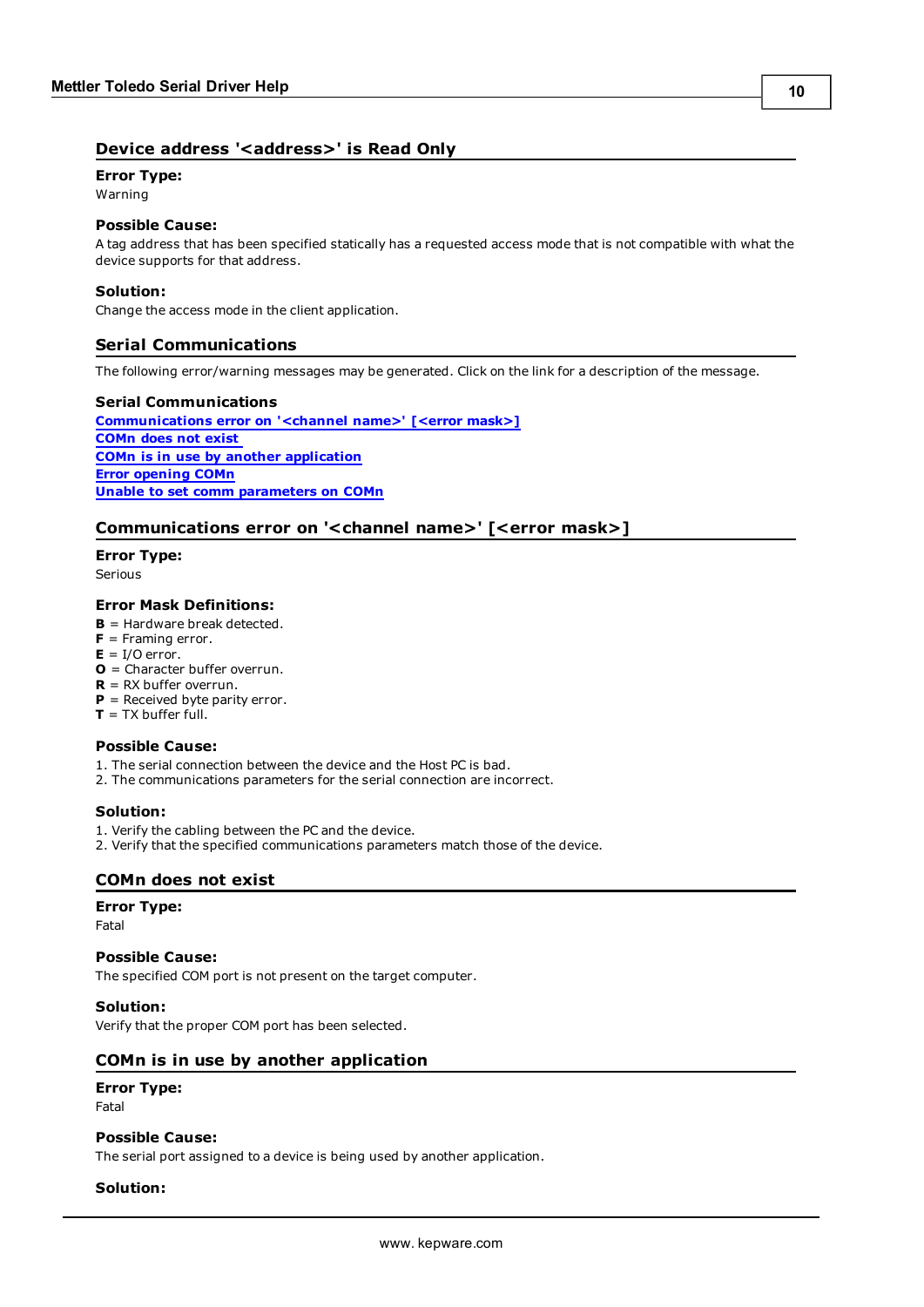# <span id="page-9-0"></span>Device address '<address>' is Read Only

# **Error Type:**

Warning

## **Possible Cause:**

A tag address that has been specified statically has a requested access mode that is not compatible with what the device supports for that address.

# **Solution:**

<span id="page-9-1"></span>Change the access mode in the client application.

# **Serial Communications**

The following error/warning messages may be generated. Click on the link for a description of the message.

## **Serial Communications**

**[Communications](#page-9-2) [error](#page-9-2) [on](#page-9-2) ['<channel](#page-9-2) [name>'](#page-9-2) [\[<error](#page-9-2) [mask>\]](#page-9-2) [COMn](#page-9-3) [does](#page-9-3) [not](#page-9-3) [exist](#page-9-3) [COMn](#page-9-4) [is](#page-9-4) [in](#page-9-4) [use](#page-9-4) [by](#page-9-4) [another](#page-9-4) [application](#page-9-4) [Error](#page-10-0) [opening](#page-10-0) [COMn](#page-10-0) [Unable](#page-10-1) [to](#page-10-1) [set](#page-10-1) [comm](#page-10-1) [parameters](#page-10-1) [on](#page-10-1) [COMn](#page-10-1)**

# <span id="page-9-2"></span>**Communications error on '<channel name>' [<error mask>]**

**Error Type:**

Serious

## **Error Mask Definitions:**

- **B** = Hardware break detected.
- **F** = Framing error.
- $E = I/O$  error.
- **O** = Character buffer overrun.
- **R** = RX buffer overrun.
- **P** = Received byte parity error.
- $T = TX$  buffer full.

# **Possible Cause:**

- 1. The serial connection between the device and the Host PC is bad.
- 2. The communications parameters for the serial connection are incorrect.

# **Solution:**

- 1. Verify the cabling between the PC and the device.
- <span id="page-9-3"></span>2. Verify that the specified communications parameters match those of the device.

# **COMn does not exist**

#### **Error Type:**

Fatal

#### **Possible Cause:**

The specified COM port is not present on the target computer.

## **Solution:**

<span id="page-9-4"></span>Verify that the proper COM port has been selected.

# **COMn is in use by another application**

## **Error Type:**

Fatal

# **Possible Cause:**

The serial port assigned to a device is being used by another application.

#### **Solution:**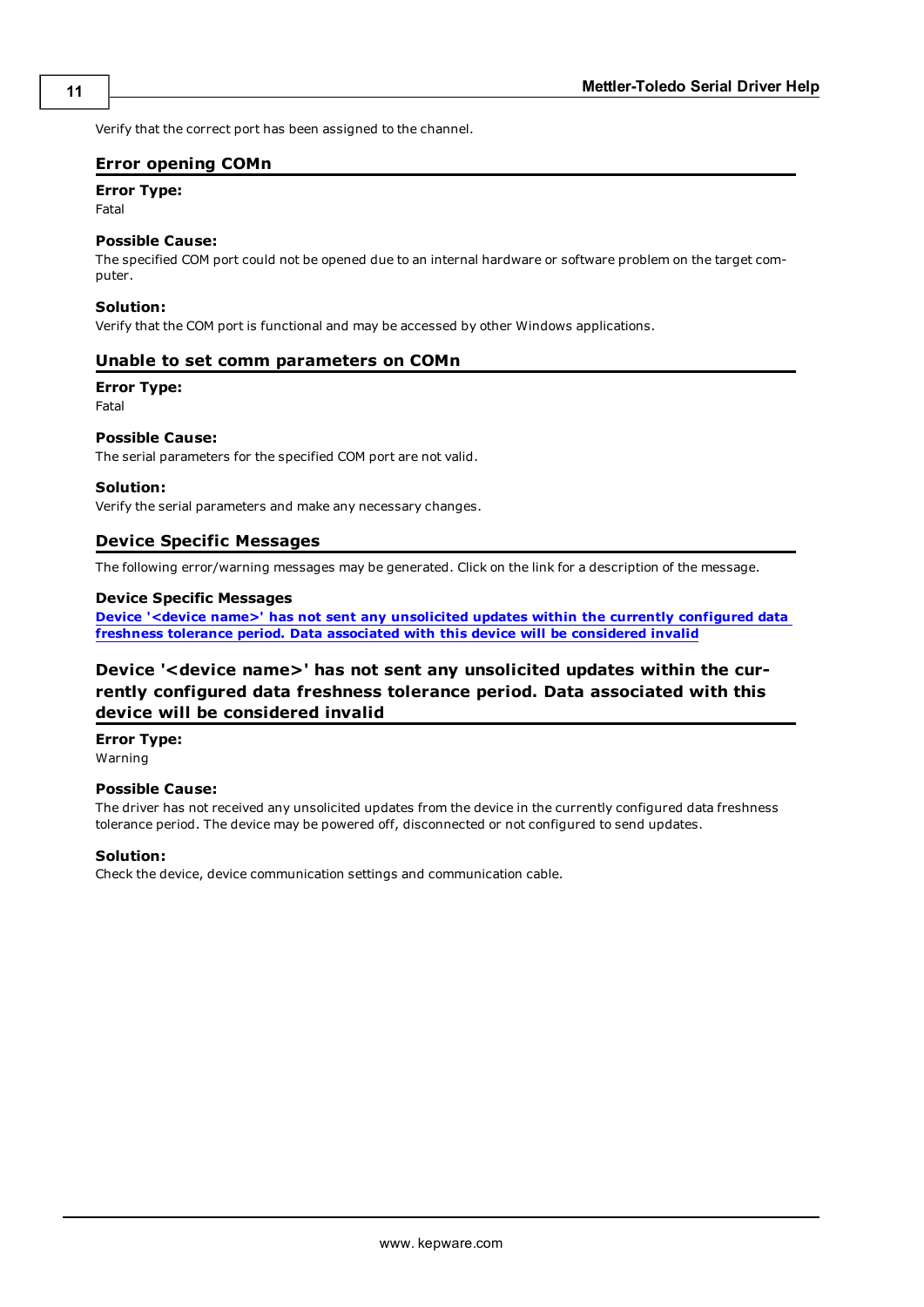<span id="page-10-0"></span>Verify that the correct port has been assigned to the channel.

# **Error opening COMn**

# **Error Type:**

Fatal

### **Possible Cause:**

The specified COM port could not be opened due to an internal hardware or software problem on the target computer.

#### **Solution:**

<span id="page-10-1"></span>Verify that the COM port is functional and may be accessed by other Windows applications.

## **Unable to set comm parameters on COMn**

#### **Error Type:**

Fatal

# **Possible Cause:**

The serial parameters for the specified COM port are not valid.

#### **Solution:**

<span id="page-10-2"></span>Verify the serial parameters and make any necessary changes.

#### **Device Specific Messages**

The following error/warning messages may be generated. Click on the link for a description of the message.

### **Device Specific Messages**

**[Device](#page-10-3) ['<device](#page-10-3) [name>'](#page-10-3) [has](#page-10-3) [not](#page-10-3) [sent](#page-10-3) [any](#page-10-3) [unsolicited](#page-10-3) [updates](#page-10-3) [within](#page-10-3) [the](#page-10-3) [currently](#page-10-3) [configured](#page-10-3) [data](#page-10-3) [freshness](#page-10-3) [tolerance](#page-10-3) [period.](#page-10-3) [Data](#page-10-3) [associated](#page-10-3) [with](#page-10-3) [this](#page-10-3) [device](#page-10-3) [will](#page-10-3) [be](#page-10-3) [considered](#page-10-3) [invalid](#page-10-3)**

# <span id="page-10-3"></span>**Device '<device name>' has not sent any unsolicited updates within the currently configured data freshness tolerance period. Data associated with this device will be considered invalid**

**Error Type:**

Warning

#### **Possible Cause:**

The driver has not received any unsolicited updates from the device in the currently configured data freshness tolerance period. The device may be powered off, disconnected or not configured to send updates.

# **Solution:**

Check the device, device communication settings and communication cable.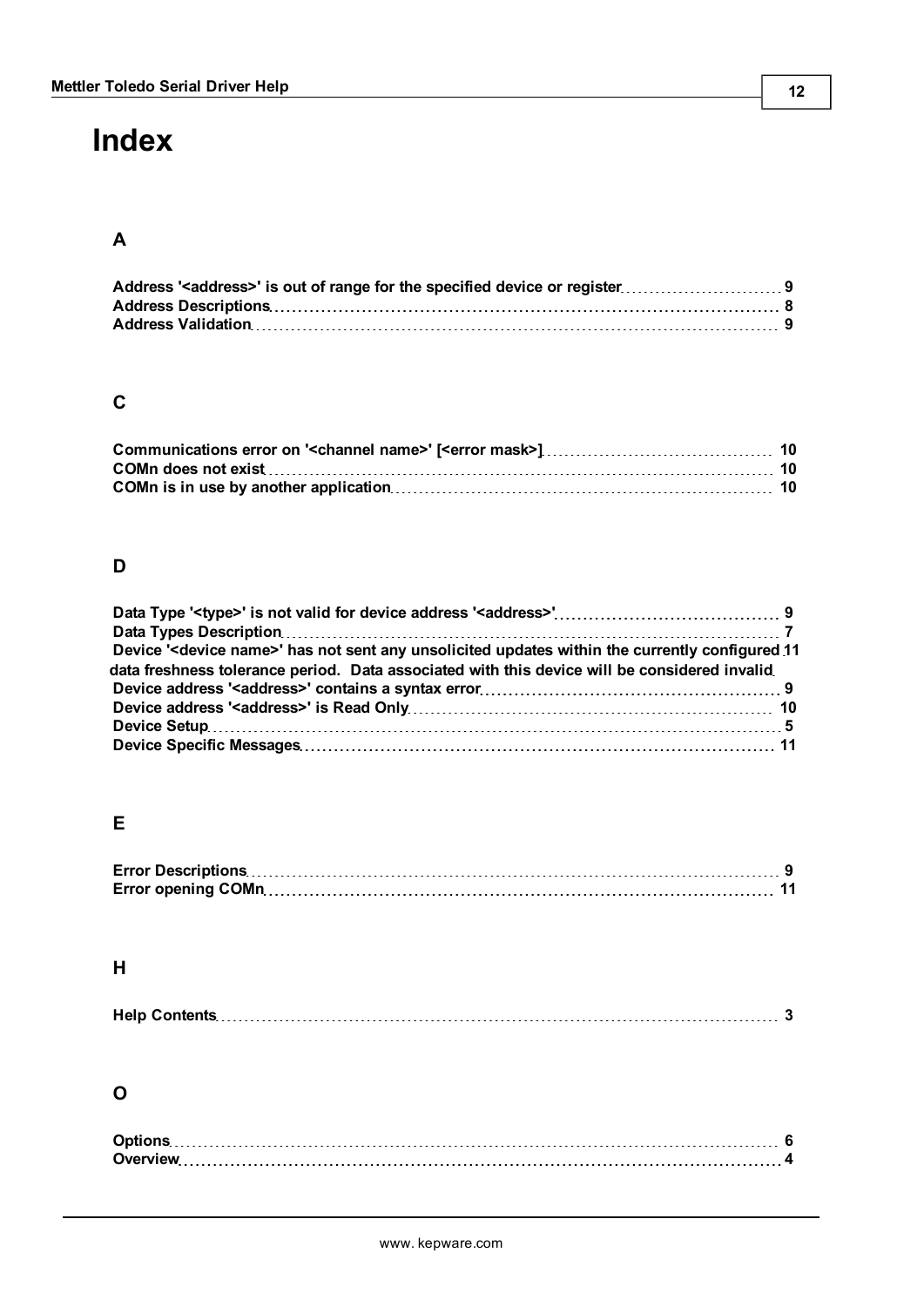# <span id="page-11-0"></span>**Index**

# **A**

# **C**

# **D**

| Device ' <device name="">' has not sent any unsolicited updates within the currently configured 11</device> |  |
|-------------------------------------------------------------------------------------------------------------|--|
| data freshness tolerance period. Data associated with this device will be considered invalid                |  |
|                                                                                                             |  |
|                                                                                                             |  |
|                                                                                                             |  |
|                                                                                                             |  |

# **E**

# **H**

|--|--|

# **O**

**12**